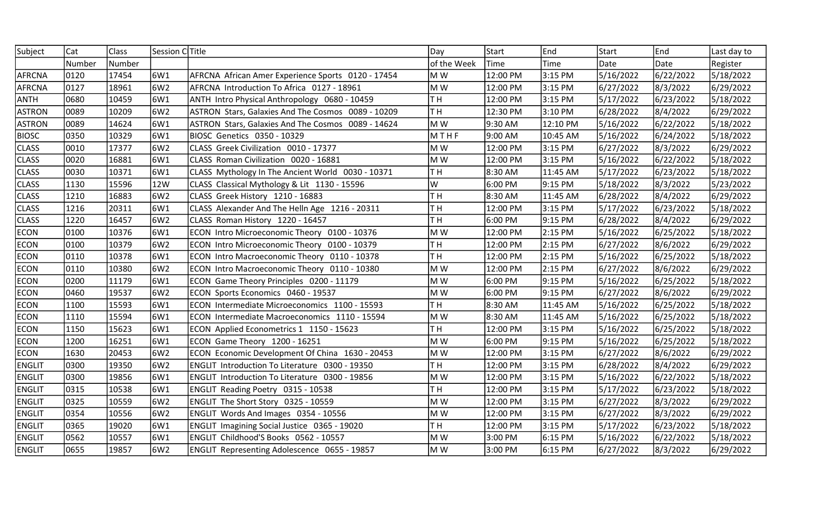| Subject       | Cat    | Class  | Session CTitle |                                                       | Day            | <b>Start</b> | End      | Start     | <b>E</b> nd | Last day to |
|---------------|--------|--------|----------------|-------------------------------------------------------|----------------|--------------|----------|-----------|-------------|-------------|
|               | Number | Number |                |                                                       | of the Week    | Time         | Time     | Date      | Date        | Register    |
| <b>AFRCNA</b> | 0120   | 17454  | 6W1            | AFRCNA African Amer Experience Sports 0120 - 17454    | M W            | 12:00 PM     | 3:15 PM  | 5/16/2022 | 6/22/2022   | 5/18/2022   |
| <b>AFRCNA</b> | 0127   | 18961  | 6W2            | AFRCNA Introduction To Africa 0127 - 18961            | M W            | 12:00 PM     | 3:15 PM  | 6/27/2022 | 8/3/2022    | 6/29/2022   |
| <b>ANTH</b>   | 0680   | 10459  | 6W1            | ANTH Intro Physical Anthropology 0680 - 10459         | TH <sub></sub> | 12:00 PM     | 3:15 PM  | 5/17/2022 | 6/23/2022   | 5/18/2022   |
| <b>ASTRON</b> | 0089   | 10209  | 6W2            | ASTRON Stars, Galaxies And The Cosmos 0089 - 10209    | TH <sub></sub> | 12:30 PM     | 3:10 PM  | 6/28/2022 | 8/4/2022    | 6/29/2022   |
| <b>ASTRON</b> | 0089   | 14624  | 6W1            | ASTRON Stars, Galaxies And The Cosmos 0089 - 14624    | M W            | 9:30 AM      | 12:10 PM | 5/16/2022 | 6/22/2022   | 5/18/2022   |
| <b>BIOSC</b>  | 0350   | 10329  | 6W1            | BIOSC Genetics 0350 - 10329                           | MTHF           | 9:00 AM      | 10:45 AM | 5/16/2022 | 6/24/2022   | 5/18/2022   |
| <b>CLASS</b>  | 0010   | 17377  | 6W2            | CLASS Greek Civilization 0010 - 17377                 | M W            | 12:00 PM     | 3:15 PM  | 6/27/2022 | 8/3/2022    | 6/29/2022   |
| <b>CLASS</b>  | 10020  | 16881  | 6W1            | CLASS Roman Civilization 0020 - 16881                 | M W            | 12:00 PM     | 3:15 PM  | 5/16/2022 | 6/22/2022   | 5/18/2022   |
| <b>CLASS</b>  | 0030   | 10371  | 6W1            | CLASS Mythology In The Ancient World 0030 - 10371     | TH <sub></sub> | 8:30 AM      | 11:45 AM | 5/17/2022 | 6/23/2022   | 5/18/2022   |
| <b>CLASS</b>  | 1130   | 15596  | 12W            | CLASS Classical Mythology & Lit 1130 - 15596          | W              | 6:00 PM      | 9:15 PM  | 5/18/2022 | 8/3/2022    | 5/23/2022   |
| <b>CLASS</b>  | 1210   | 16883  | 6W2            | CLASS Greek History 1210 - 16883                      | TH <sub></sub> | 8:30 AM      | 11:45 AM | 6/28/2022 | 8/4/2022    | 6/29/2022   |
| <b>CLASS</b>  | 1216   | 20311  | 6W1            | CLASS Alexander And The Helln Age 1216 - 20311        | TH <sub></sub> | 12:00 PM     | 3:15 PM  | 5/17/2022 | 6/23/2022   | 5/18/2022   |
| <b>CLASS</b>  | 1220   | 16457  | 6W2            | CLASS Roman History 1220 - 16457                      | TH <sub></sub> | 6:00 PM      | 9:15 PM  | 6/28/2022 | 8/4/2022    | 6/29/2022   |
| <b>ECON</b>   | 0100   | 10376  | 6W1            | ECON Intro Microeconomic Theory 0100 - 10376          | M W            | 12:00 PM     | 2:15 PM  | 5/16/2022 | 6/25/2022   | 5/18/2022   |
| <b>ECON</b>   | 0100   | 10379  | 6W2            | ECON Intro Microeconomic Theory 0100 - 10379          | TH <sub></sub> | 12:00 PM     | 2:15 PM  | 6/27/2022 | 8/6/2022    | 6/29/2022   |
| <b>ECON</b>   | 0110   | 10378  | 6W1            | ECON Intro Macroeconomic Theory 0110 - 10378          | TH <sub></sub> | 12:00 PM     | 2:15 PM  | 5/16/2022 | 6/25/2022   | 5/18/2022   |
| <b>ECON</b>   | 0110   | 10380  | 6W2            | ECON Intro Macroeconomic Theory 0110 - 10380          | M W            | 12:00 PM     | 2:15 PM  | 6/27/2022 | 8/6/2022    | 6/29/2022   |
| <b>ECON</b>   | 0200   | 11179  | 6W1            | ECON Game Theory Principles 0200 - 11179              | M W            | 6:00 PM      | 9:15 PM  | 5/16/2022 | 6/25/2022   | 5/18/2022   |
| <b>ECON</b>   | 0460   | 19537  | 6W2            | ECON Sports Economics 0460 - 19537                    | M W            | 6:00 PM      | 9:15 PM  | 6/27/2022 | 8/6/2022    | 6/29/2022   |
| <b>ECON</b>   | 1100   | 15593  | 6W1            | ECON Intermediate Microeconomics 1100 - 15593         | TH <sub></sub> | 8:30 AM      | 11:45 AM | 5/16/2022 | 6/25/2022   | 5/18/2022   |
| <b>ECON</b>   | 1110   | 15594  | 6W1            | ECON Intermediate Macroeconomics 1110 - 15594         | M W            | 8:30 AM      | 11:45 AM | 5/16/2022 | 6/25/2022   | 5/18/2022   |
| <b>ECON</b>   | 1150   | 15623  | 6W1            | ECON Applied Econometrics 1 1150 - 15623              | TH <sub></sub> | 12:00 PM     | 3:15 PM  | 5/16/2022 | 6/25/2022   | 5/18/2022   |
| <b>ECON</b>   | 1200   | 16251  | 6W1            | ECON Game Theory 1200 - 16251                         | M W            | 6:00 PM      | 9:15 PM  | 5/16/2022 | 6/25/2022   | 5/18/2022   |
| <b>ECON</b>   | 1630   | 20453  | 6W2            | ECON Economic Development Of China 1630 - 20453       | M W            | 12:00 PM     | 3:15 PM  | 6/27/2022 | 8/6/2022    | 6/29/2022   |
| <b>ENGLIT</b> | 0300   | 19350  | 6W2            | ENGLIT Introduction To Literature 0300 - 19350        | TH <sub></sub> | 12:00 PM     | 3:15 PM  | 6/28/2022 | 8/4/2022    | 6/29/2022   |
| <b>ENGLIT</b> | 0300   | 19856  | 6W1            | <b>ENGLIT Introduction To Literature 0300 - 19856</b> | M W            | 12:00 PM     | 3:15 PM  | 5/16/2022 | 6/22/2022   | 5/18/2022   |
| <b>ENGLIT</b> | 0315   | 10538  | 6W1            | ENGLIT Reading Poetry 0315 - 10538                    | TH             | 12:00 PM     | 3:15 PM  | 5/17/2022 | 6/23/2022   | 5/18/2022   |
| <b>ENGLIT</b> | 0325   | 10559  | 6W2            | ENGLIT The Short Story 0325 - 10559                   | M W            | 12:00 PM     | 3:15 PM  | 6/27/2022 | 8/3/2022    | 6/29/2022   |
| <b>ENGLIT</b> | 0354   | 10556  | 6W2            | ENGLIT Words And Images 0354 - 10556                  | M W            | 12:00 PM     | 3:15 PM  | 6/27/2022 | 8/3/2022    | 6/29/2022   |
| <b>ENGLIT</b> | 0365   | 19020  | 6W1            | ENGLIT Imagining Social Justice 0365 - 19020          | TH <sub></sub> | 12:00 PM     | 3:15 PM  | 5/17/2022 | 6/23/2022   | 5/18/2022   |
| <b>ENGLIT</b> | 0562   | 10557  | 6W1            | ENGLIT Childhood'S Books 0562 - 10557                 | M W            | 3:00 PM      | 6:15 PM  | 5/16/2022 | 6/22/2022   | 5/18/2022   |
| <b>ENGLIT</b> | 0655   | 19857  | 6W2            | ENGLIT Representing Adolescence 0655 - 19857          | M W            | 3:00 PM      | 6:15 PM  | 6/27/2022 | 8/3/2022    | 6/29/2022   |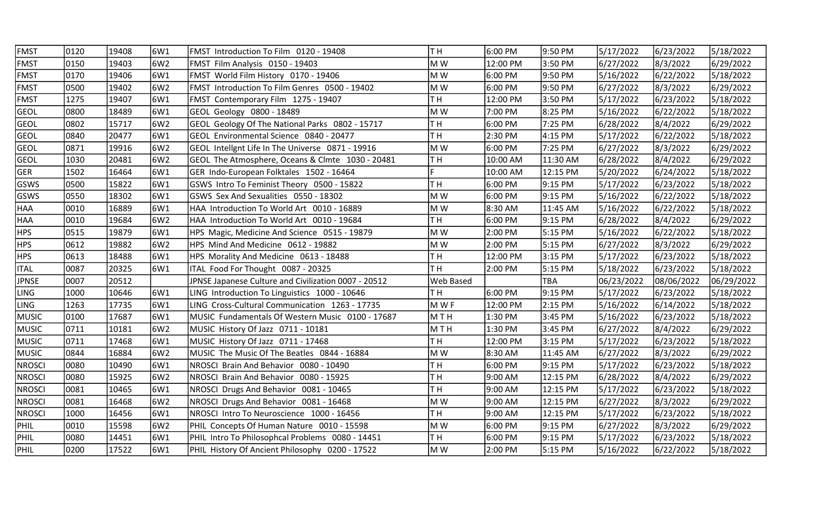| <b>FMST</b>   | 0120  | 19408 | 6W1 | FMST Introduction To Film 0120 - 19408               | TН               | 6:00 PM  | 9:50 PM  | 5/17/2022  | 6/23/2022  | 5/18/2022  |
|---------------|-------|-------|-----|------------------------------------------------------|------------------|----------|----------|------------|------------|------------|
| <b>FMST</b>   | 0150  | 19403 | 6W2 | FMST Film Analysis 0150 - 19403                      | M W              | 12:00 PM | 3:50 PM  | 6/27/2022  | 8/3/2022   | 6/29/2022  |
| <b>FMST</b>   | 0170  | 19406 | 6W1 | FMST World Film History 0170 - 19406                 | M W              | 6:00 PM  | 9:50 PM  | 5/16/2022  | 6/22/2022  | 5/18/2022  |
| <b>FMST</b>   | 0500  | 19402 | 6W2 | <b>FMST Introduction To Film Genres 0500 - 19402</b> | M W              | 6:00 PM  | 9:50 PM  | 6/27/2022  | 8/3/2022   | 6/29/2022  |
| <b>FMST</b>   | 1275  | 19407 | 6W1 | FMST Contemporary Film 1275 - 19407                  | T H              | 12:00 PM | 3:50 PM  | 5/17/2022  | 6/23/2022  | 5/18/2022  |
| <b>GEOL</b>   | 0800  | 18489 | 6W1 | GEOL Geology 0800 - 18489                            | M W              | 7:00 PM  | 8:25 PM  | 5/16/2022  | 6/22/2022  | 5/18/2022  |
| <b>GEOL</b>   | 0802  | 15717 | 6W2 | GEOL Geology Of The National Parks 0802 - 15717      | TH <sub></sub>   | 6:00 PM  | 7:25 PM  | 6/28/2022  | 8/4/2022   | 6/29/2022  |
| <b>GEOL</b>   | 0840  | 20477 | 6W1 | GEOL Environmental Science 0840 - 20477              | T H              | 2:30 PM  | 4:15 PM  | 5/17/2022  | 6/22/2022  | 5/18/2022  |
| <b>GEOL</b>   | 0871  | 19916 | 6W2 | GEOL Intellgnt Life In The Universe 0871 - 19916     | M W              | 6:00 PM  | 7:25 PM  | 6/27/2022  | 8/3/2022   | 6/29/2022  |
| <b>GEOL</b>   | 1030  | 20481 | 6W2 | GEOL The Atmosphere, Oceans & Clmte 1030 - 20481     | TН               | 10:00 AM | 11:30 AM | 6/28/2022  | 8/4/2022   | 6/29/2022  |
| <b>GER</b>    | 1502  | 16464 | 6W1 | GER Indo-European Folktales 1502 - 16464             |                  | 10:00 AM | 12:15 PM | 5/20/2022  | 6/24/2022  | 5/18/2022  |
| GSWS          | 0500  | 15822 | 6W1 | GSWS Intro To Feminist Theory 0500 - 15822           | TH <sub></sub>   | 6:00 PM  | 9:15 PM  | 5/17/2022  | 6/23/2022  | 5/18/2022  |
| <b>GSWS</b>   | 0550  | 18302 | 6W1 | GSWS Sex And Sexualities 0550 - 18302                | M W              | 6:00 PM  | 9:15 PM  | 5/16/2022  | 6/22/2022  | 5/18/2022  |
| <b>HAA</b>    | 0010  | 16889 | 6W1 | HAA Introduction To World Art 0010 - 16889           | M W              | 8:30 AM  | 11:45 AM | 5/16/2022  | 6/22/2022  | 5/18/2022  |
| <b>HAA</b>    | 0010  | 19684 | 6W2 | HAA Introduction To World Art 0010 - 19684           | TH <sub></sub>   | 6:00 PM  | 9:15 PM  | 6/28/2022  | 8/4/2022   | 6/29/2022  |
| <b>HPS</b>    | 0515  | 19879 | 6W1 | HPS Magic, Medicine And Science 0515 - 19879         | M W              | 2:00 PM  | 5:15 PM  | 5/16/2022  | 6/22/2022  | 5/18/2022  |
| <b>HPS</b>    | 0612  | 19882 | 6W2 | HPS Mind And Medicine 0612 - 19882                   | M W              | 2:00 PM  | 5:15 PM  | 6/27/2022  | 8/3/2022   | 6/29/2022  |
| <b>HPS</b>    | 0613  | 18488 | 6W1 | HPS Morality And Medicine 0613 - 18488               | TH <sub></sub>   | 12:00 PM | 3:15 PM  | 5/17/2022  | 6/23/2022  | 5/18/2022  |
| <b>ITAL</b>   | 0087  | 20325 | 6W1 | ITAL Food For Thought 0087 - 20325                   | TH <sub></sub>   | 2:00 PM  | 5:15 PM  | 5/18/2022  | 6/23/2022  | 5/18/2022  |
| <b>JPNSE</b>  | 10007 | 20512 |     | JPNSE Japanese Culture and Civilization 0007 - 20512 | <b>Web Based</b> |          | TBA      | 06/23/2022 | 08/06/2022 | 06/29/2022 |
| <b>LING</b>   | 1000  | 10646 | 6W1 | LING Introduction To Linguistics 1000 - 10646        | T H              | 6:00 PM  | 9:15 PM  | 5/17/2022  | 6/23/2022  | 5/18/2022  |
| <b>LING</b>   | 1263  | 17735 | 6W1 | LING Cross-Cultural Communication 1263 - 17735       | M W F            | 12:00 PM | 2:15 PM  | 5/16/2022  | 6/14/2022  | 5/18/2022  |
| <b>MUSIC</b>  | 0100  | 17687 | 6W1 | MUSIC Fundamentals Of Western Music 0100 - 17687     | <b>MTH</b>       | 1:30 PM  | 3:45 PM  | 5/16/2022  | 6/23/2022  | 5/18/2022  |
| <b>MUSIC</b>  | 0711  | 10181 | 6W2 | MUSIC History Of Jazz 0711 - 10181                   | <b>MTH</b>       | 1:30 PM  | 3:45 PM  | 6/27/2022  | 8/4/2022   | 6/29/2022  |
| <b>MUSIC</b>  | 0711  | 17468 | 6W1 | MUSIC History Of Jazz 0711 - 17468                   | TH <sub></sub>   | 12:00 PM | 3:15 PM  | 5/17/2022  | 6/23/2022  | 5/18/2022  |
| <b>MUSIC</b>  | 0844  | 16884 | 6W2 | MUSIC The Music Of The Beatles 0844 - 16884          | M W              | 8:30 AM  | 11:45 AM | 6/27/2022  | 8/3/2022   | 6/29/2022  |
| <b>NROSCI</b> | 0080  | 10490 | 6W1 | NROSCI Brain And Behavior 0080 - 10490               | TH <sub></sub>   | 6:00 PM  | 9:15 PM  | 5/17/2022  | 6/23/2022  | 5/18/2022  |
| <b>NROSCI</b> | 0080  | 15925 | 6W2 | NROSCI Brain And Behavior 0080 - 15925               | TH <sub></sub>   | 9:00 AM  | 12:15 PM | 6/28/2022  | 8/4/2022   | 6/29/2022  |
| <b>NROSCI</b> | 0081  | 10465 | 6W1 | NROSCI Drugs And Behavior 0081 - 10465               | TH <sub></sub>   | 9:00 AM  | 12:15 PM | 5/17/2022  | 6/23/2022  | 5/18/2022  |
| <b>NROSCI</b> | 0081  | 16468 | 6W2 | NROSCI Drugs And Behavior 0081 - 16468               | M W              | 9:00 AM  | 12:15 PM | 6/27/2022  | 8/3/2022   | 6/29/2022  |
| <b>NROSCI</b> | 1000  | 16456 | 6W1 | NROSCI Intro To Neuroscience 1000 - 16456            | T H              | 9:00 AM  | 12:15 PM | 5/17/2022  | 6/23/2022  | 5/18/2022  |
| PHIL          | 0010  | 15598 | 6W2 | PHIL Concepts Of Human Nature 0010 - 15598           | M W              | 6:00 PM  | 9:15 PM  | 6/27/2022  | 8/3/2022   | 6/29/2022  |
| PHIL          | 0080  | 14451 | 6W1 | PHIL Intro To Philosophcal Problems 0080 - 14451     | TH <sub></sub>   | 6:00 PM  | 9:15 PM  | 5/17/2022  | 6/23/2022  | 5/18/2022  |
| PHIL          | 0200  | 17522 | 6W1 | PHIL History Of Ancient Philosophy 0200 - 17522      | M W              | 2:00 PM  | 5:15 PM  | 5/16/2022  | 6/22/2022  | 5/18/2022  |